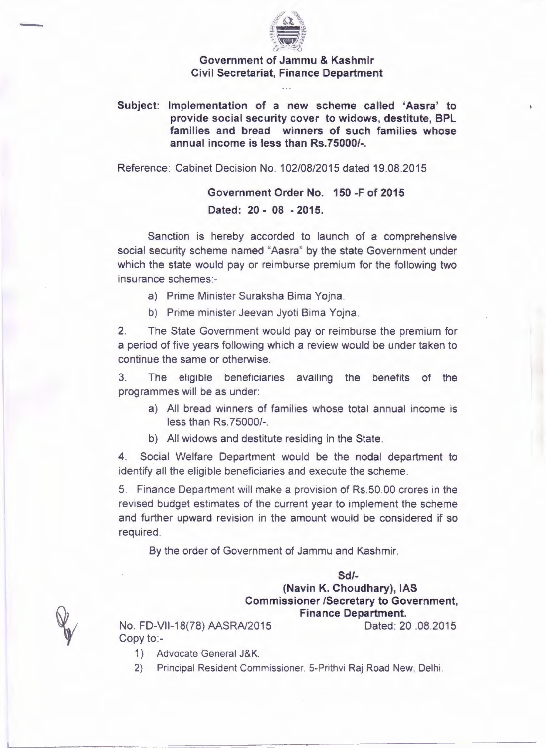

## Government of Jammu & Kashmir Civil Secretariat, Finance Department

Subject: Implementation of a new scheme called 'Aasra' to provide social security cover to widows, destitute, BPL families and bread winners of such families whose annual income is less than RS.75000/-.

Reference: Cabinet Decision No.1 02/08/2015 dated 19.08.2015

Government Order No. 150 -F of 2015 Dated: 20 - 08 - 2015.

Sanction is hereby accorded to launch of a comprehensive social security scheme named "Aasra" by the state Government under which the state would pay or reimburse premium for the following two insurance schemes:-

- a) Prime Minister Suraksha Bima Yojna.
- b) Prime minister Jeevan Jyoti Bima Yojna.

2. The State Government would pay or reimburse the premium for a period of five years following which a review would be under taken to continue the same or otherwise.

3. The eligible beneficiaries availing the benefits of the programmes will be as under:

- a) All bread winners of families whose total annual income is less than Rs.75000/-.
- b) All widows and destitute residing in the State.

4. Social Welfare Department would be the nodal department to identify all the eligible beneficiaries and execute the scheme.

5. Finance Department will make a provision of Rs.50.00 crores in the revised budget estimates of the current year to implement the scheme and further upward revision in the amount would be considered if so required.

By the order of Government of Jammu and Kashmir.

## *Sd/-* (Navin K. Choudhary), IAS Commissioner *ISecretary* to Government, Finance Department.

No. FD-VII-18(78) AASRA/2015 Dated: 20 .08.2015 Copy to:-

- 1) Advocate General J&K.
- 2) Principal Resident Commissioner, 5-Prithvi Raj Road New, Delhi.